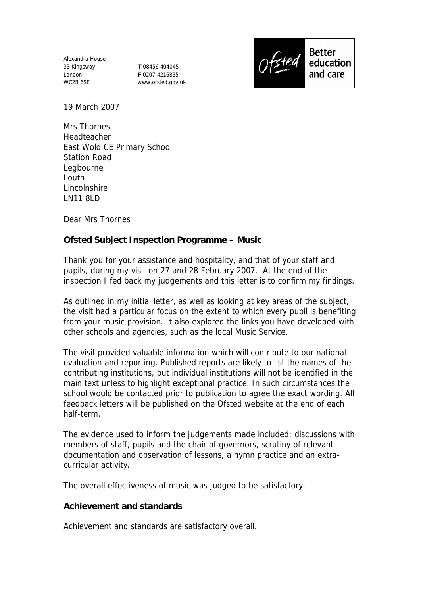Alexandra House 33 Kingsway London WC2B 6SE

**T** 08456 404045 **F** 0207 4216855 www.ofsted.gov.uk



19 March 2007

Mrs Thornes Headteacher East Wold CE Primary School Station Road Legbourne Louth Lincolnshire LN11 8LD

Dear Mrs Thornes

**Ofsted Subject Inspection Programme – Music** 

Thank you for your assistance and hospitality, and that of your staff and pupils, during my visit on 27 and 28 February 2007. At the end of the inspection I fed back my judgements and this letter is to confirm my findings.

As outlined in my initial letter, as well as looking at key areas of the subject, the visit had a particular focus on the extent to which every pupil is benefiting from your music provision. It also explored the links you have developed with other schools and agencies, such as the local Music Service.

The visit provided valuable information which will contribute to our national evaluation and reporting. Published reports are likely to list the names of the contributing institutions, but individual institutions will not be identified in the main text unless to highlight exceptional practice. In such circumstances the school would be contacted prior to publication to agree the exact wording. All feedback letters will be published on the Ofsted website at the end of each half-term.

The evidence used to inform the judgements made included: discussions with members of staff, pupils and the chair of governors, scrutiny of relevant documentation and observation of lessons, a hymn practice and an extracurricular activity.

The overall effectiveness of music was judged to be satisfactory.

**Achievement and standards** 

Achievement and standards are satisfactory overall.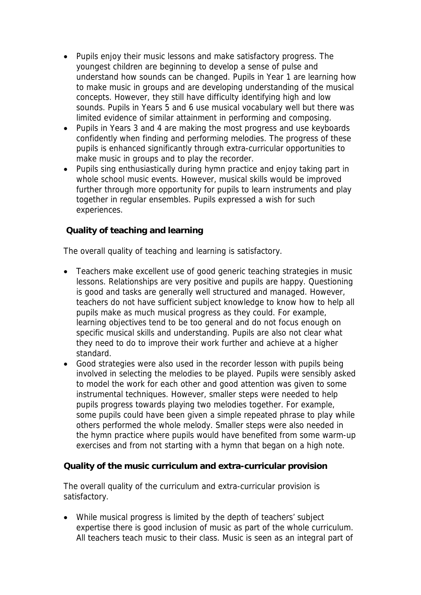- Pupils enjoy their music lessons and make satisfactory progress. The youngest children are beginning to develop a sense of pulse and understand how sounds can be changed. Pupils in Year 1 are learning how to make music in groups and are developing understanding of the musical concepts. However, they still have difficulty identifying high and low sounds. Pupils in Years 5 and 6 use musical vocabulary well but there was limited evidence of similar attainment in performing and composing.
- Pupils in Years 3 and 4 are making the most progress and use keyboards confidently when finding and performing melodies. The progress of these pupils is enhanced significantly through extra-curricular opportunities to make music in groups and to play the recorder.
- Pupils sing enthusiastically during hymn practice and enjoy taking part in whole school music events. However, musical skills would be improved further through more opportunity for pupils to learn instruments and play together in regular ensembles. Pupils expressed a wish for such experiences.

## **Quality of teaching and learning**

The overall quality of teaching and learning is satisfactory.

- Teachers make excellent use of good generic teaching strategies in music lessons. Relationships are very positive and pupils are happy. Questioning is good and tasks are generally well structured and managed. However, teachers do not have sufficient subject knowledge to know how to help all pupils make as much musical progress as they could. For example, learning objectives tend to be too general and do not focus enough on specific musical skills and understanding. Pupils are also not clear what they need to do to improve their work further and achieve at a higher standard.
- Good strategies were also used in the recorder lesson with pupils being involved in selecting the melodies to be played. Pupils were sensibly asked to model the work for each other and good attention was given to some instrumental techniques. However, smaller steps were needed to help pupils progress towards playing two melodies together. For example, some pupils could have been given a simple repeated phrase to play while others performed the whole melody. Smaller steps were also needed in the hymn practice where pupils would have benefited from some warm-up exercises and from not starting with a hymn that began on a high note.

## **Quality of the music curriculum and extra-curricular provision**

The overall quality of the curriculum and extra-curricular provision is satisfactory.

 While musical progress is limited by the depth of teachers' subject expertise there is good inclusion of music as part of the whole curriculum. All teachers teach music to their class. Music is seen as an integral part of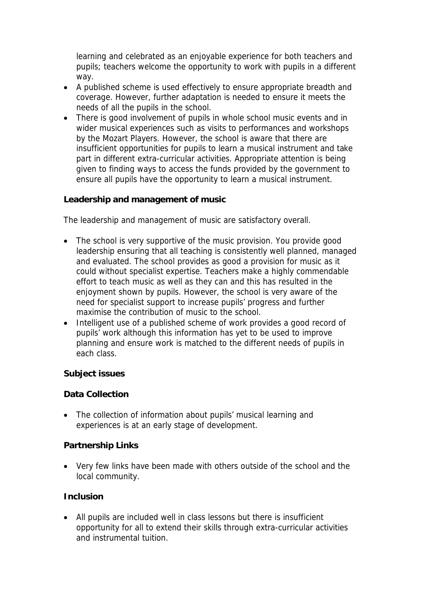learning and celebrated as an enjoyable experience for both teachers and pupils; teachers welcome the opportunity to work with pupils in a different way.

- A published scheme is used effectively to ensure appropriate breadth and coverage. However, further adaptation is needed to ensure it meets the needs of all the pupils in the school.
- There is good involvement of pupils in whole school music events and in wider musical experiences such as visits to performances and workshops by the Mozart Players. However, the school is aware that there are insufficient opportunities for pupils to learn a musical instrument and take part in different extra-curricular activities. Appropriate attention is being given to finding ways to access the funds provided by the government to ensure all pupils have the opportunity to learn a musical instrument.

**Leadership and management of music**

The leadership and management of music are satisfactory overall.

- The school is very supportive of the music provision. You provide good leadership ensuring that all teaching is consistently well planned, managed and evaluated. The school provides as good a provision for music as it could without specialist expertise. Teachers make a highly commendable effort to teach music as well as they can and this has resulted in the enjoyment shown by pupils. However, the school is very aware of the need for specialist support to increase pupils' progress and further maximise the contribution of music to the school.
- Intelligent use of a published scheme of work provides a good record of pupils' work although this information has yet to be used to improve planning and ensure work is matched to the different needs of pupils in each class.

**Subject issues**

**Data Collection**

 The collection of information about pupils' musical learning and experiences is at an early stage of development.

**Partnership Links**

 Very few links have been made with others outside of the school and the local community.

## **Inclusion**

 All pupils are included well in class lessons but there is insufficient opportunity for all to extend their skills through extra-curricular activities and instrumental tuition.